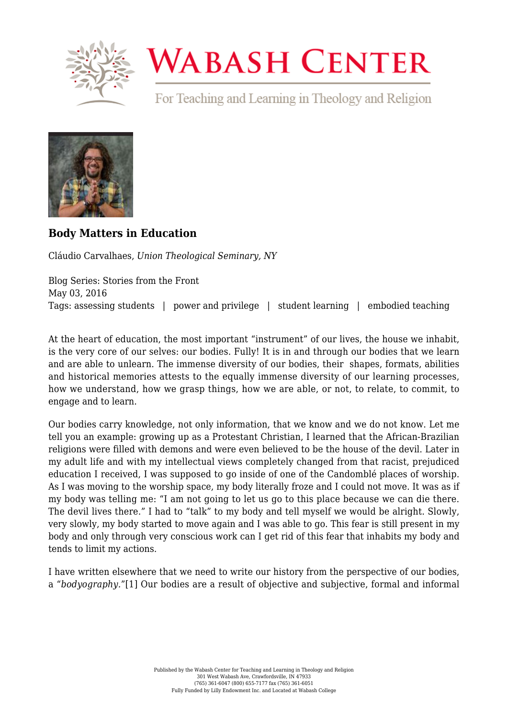

## **WABASH CENTER**

For Teaching and Learning in Theology and Religion



## **[Body Matters in Education](https://www.wabashcenter.wabash.edu/2016/05/body-matters-in-education/)**

Cláudio Carvalhaes, *Union Theological Seminary, NY*

Blog Series: Stories from the Front May 03, 2016 Tags: assessing students | power and privilege | student learning | embodied teaching

At the heart of education, the most important "instrument" of our lives, the house we inhabit, is the very core of our selves: our bodies. Fully! It is in and through our bodies that we learn and are able to unlearn. The immense diversity of our bodies, their shapes, formats, abilities and historical memories attests to the equally immense diversity of our learning processes, how we understand, how we grasp things, how we are able, or not, to relate, to commit, to engage and to learn.

Our bodies carry knowledge, not only information, that we know and we do not know. Let me tell you an example: growing up as a Protestant Christian, I learned that the African-Brazilian religions were filled with demons and were even believed to be the house of the devil. Later in my adult life and with my intellectual views completely changed from that racist, prejudiced education I received, I was supposed to go inside of one of the Candomblé places of worship. As I was moving to the worship space, my body literally froze and I could not move. It was as if my body was telling me: "I am not going to let us go to this place because we can die there. The devil lives there." I had to "talk" to my body and tell myself we would be alright. Slowly, very slowly, my body started to move again and I was able to go. This fear is still present in my body and only through very conscious work can I get rid of this fear that inhabits my body and tends to limit my actions.

<span id="page-0-0"></span>I have written elsewhere that we need to write our history from the perspective of our bodies, a "*bodyography.*"[\[1\]](#page-3-0) Our bodies are a result of objective and subjective, formal and informal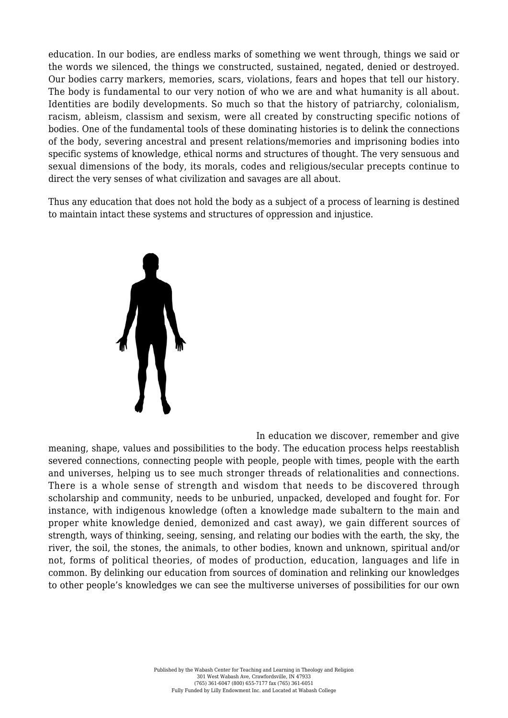education. In our bodies, are endless marks of something we went through, things we said or the words we silenced, the things we constructed, sustained, negated, denied or destroyed. Our bodies carry markers, memories, scars, violations, fears and hopes that tell our history. The body is fundamental to our very notion of who we are and what humanity is all about. Identities are bodily developments. So much so that the history of patriarchy, colonialism, racism, ableism, classism and sexism, were all created by constructing specific notions of bodies. One of the fundamental tools of these dominating histories is to delink the connections of the body, severing ancestral and present relations/memories and imprisoning bodies into specific systems of knowledge, ethical norms and structures of thought. The very sensuous and sexual dimensions of the body, its morals, codes and religious/secular precepts continue to direct the very senses of what civilization and savages are all about.

Thus any education that does not hold the body as a subject of a process of learning is destined to maintain intact these systems and structures of oppression and injustice.



In education we discover, remember and give meaning, shape, values and possibilities to the body. The education process helps reestablish severed connections, connecting people with people, people with times, people with the earth and universes, helping us to see much stronger threads of relationalities and connections. There is a whole sense of strength and wisdom that needs to be discovered through scholarship and community, needs to be unburied, unpacked, developed and fought for. For instance, with indigenous knowledge (often a knowledge made subaltern to the main and proper white knowledge denied, demonized and cast away), we gain different sources of strength, ways of thinking, seeing, sensing, and relating our bodies with the earth, the sky, the river, the soil, the stones, the animals, to other bodies, known and unknown, spiritual and/or not, forms of political theories, of modes of production, education, languages and life in common. By delinking our education from sources of domination and relinking our knowledges to other people's knowledges we can see the multiverse universes of possibilities for our own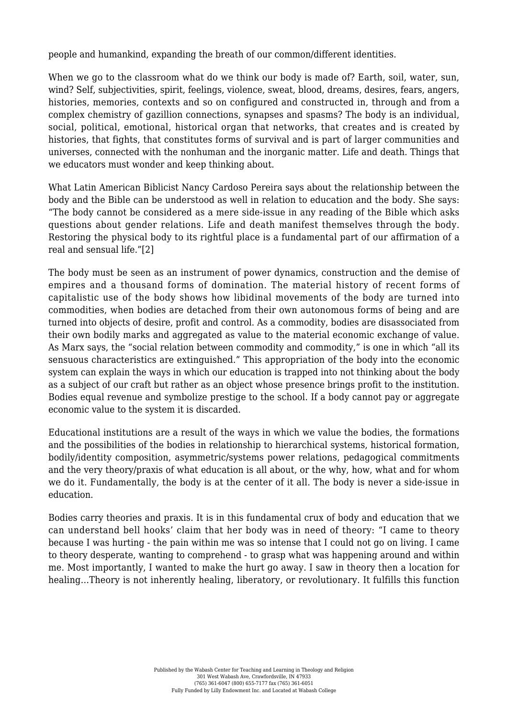people and humankind, expanding the breath of our common/different identities.

When we go to the classroom what do we think our body is made of? Earth, soil, water, sun, wind? Self, subjectivities, spirit, feelings, violence, sweat, blood, dreams, desires, fears, angers, histories, memories, contexts and so on configured and constructed in, through and from a complex chemistry of gazillion connections, synapses and spasms? The body is an individual, social, political, emotional, historical organ that networks, that creates and is created by histories, that fights, that constitutes forms of survival and is part of larger communities and universes, connected with the nonhuman and the inorganic matter. Life and death. Things that we educators must wonder and keep thinking about.

What Latin American Biblicist Nancy Cardoso Pereira says about the relationship between the body and the Bible can be understood as well in relation to education and the body. She says: "The body cannot be considered as a mere side-issue in any reading of the Bible which asks questions about gender relations. Life and death manifest themselves through the body. Restoring the physical body to its rightful place is a fundamental part of our affirmation of a real and sensual life.["\[2\]](#page-3-1)

<span id="page-2-0"></span>The body must be seen as an instrument of power dynamics, construction and the demise of empires and a thousand forms of domination. The material history of recent forms of capitalistic use of the body shows how libidinal movements of the body are turned into commodities, when bodies are detached from their own autonomous forms of being and are turned into objects of desire, profit and control. As a commodity, bodies are disassociated from their own bodily marks and aggregated as value to the material economic exchange of value. As Marx says, the "social relation between commodity and commodity," is one in which "all its sensuous characteristics are extinguished." This appropriation of the body into the economic system can explain the ways in which our education is trapped into not thinking about the body as a subject of our craft but rather as an object whose presence brings profit to the institution. Bodies equal revenue and symbolize prestige to the school. If a body cannot pay or aggregate economic value to the system it is discarded.

Educational institutions are a result of the ways in which we value the bodies, the formations and the possibilities of the bodies in relationship to hierarchical systems, historical formation, bodily/identity composition, asymmetric/systems power relations, pedagogical commitments and the very theory/praxis of what education is all about, or the why, how, what and for whom we do it. Fundamentally, the body is at the center of it all. The body is never a side-issue in education.

<span id="page-2-1"></span>Bodies carry theories and praxis. It is in this fundamental crux of body and education that we can understand bell hooks' claim that her body was in need of theory: "I came to theory because I was hurting - the pain within me was so intense that I could not go on living. I came to theory desperate, wanting to comprehend - to grasp what was happening around and within me. Most importantly, I wanted to make the hurt go away. I saw in theory then a location for healing…Theory is not inherently healing, liberatory, or revolutionary. It fulfills this function